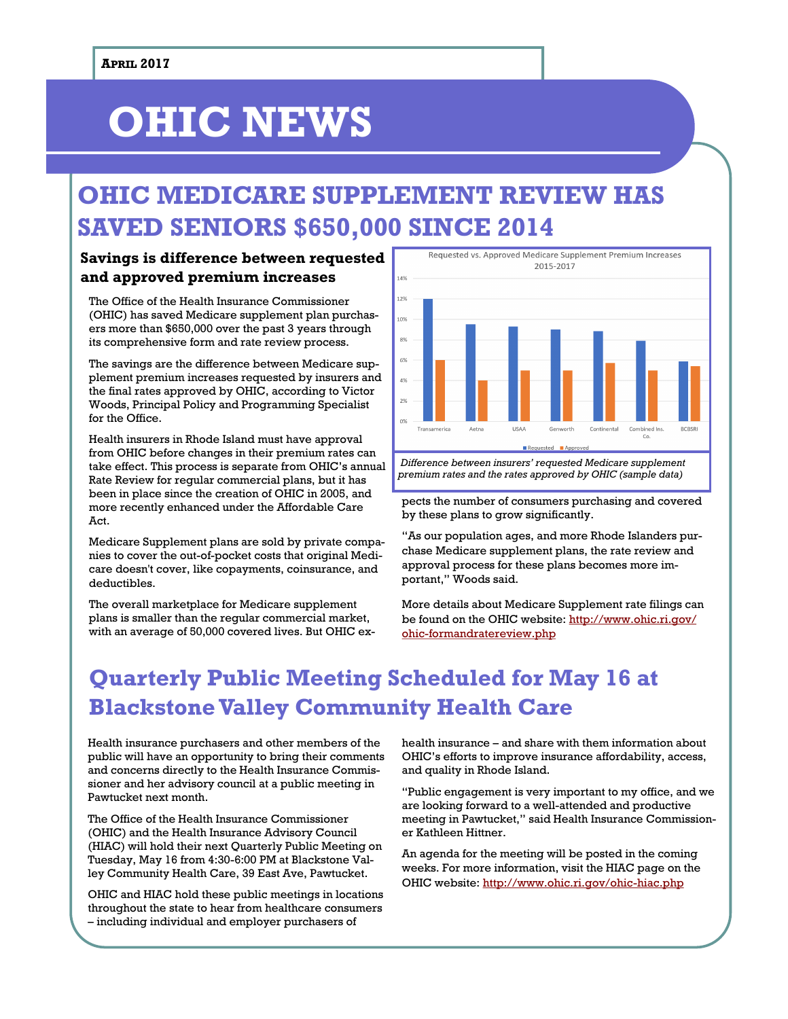# **OHIC NEWS**

# **OHIC MEDICARE SUPPLEMENT REVIEW HAS SAVED SENIORS \$650,000 SINCE 2014**

### **Savings is difference between requested and approved premium increases**

The Office of the Health Insurance Commissioner (OHIC) has saved Medicare supplement plan purchasers more than \$650,000 over the past 3 years through its comprehensive form and rate review process.

The savings are the difference between Medicare supplement premium increases requested by insurers and the final rates approved by OHIC, according to Victor Woods, Principal Policy and Programming Specialist for the Office.

Health insurers in Rhode Island must have approval from OHIC before changes in their premium rates can take effect. This process is separate from OHIC's annual Rate Review for regular commercial plans, but it has been in place since the creation of OHIC in 2005, and more recently enhanced under the Affordable Care Act.

Medicare Supplement plans are sold by private companies to cover the out-of-pocket costs that original Medicare doesn't cover, like copayments, coinsurance, and deductibles.

The overall marketplace for Medicare supplement plans is smaller than the regular commercial market, with an average of 50,000 covered lives. But OHIC ex-



*Difference between insurers' requested Medicare supplement premium rates and the rates approved by OHIC (sample data)*

pects the number of consumers purchasing and covered by these plans to grow significantly.

"As our population ages, and more Rhode Islanders purchase Medicare supplement plans, the rate review and approval process for these plans becomes more important," Woods said.

More details about Medicare Supplement rate filings can be found on the OHIC website: [http://www.ohic.ri.gov/](http://www.ohic.ri.gov/ohic-formandratereview.php) [ohic-formandratereview.php](http://www.ohic.ri.gov/ohic-formandratereview.php)

# **Quarterly Public Meeting Scheduled for May 16 at Blackstone Valley Community Health Care**

Health insurance purchasers and other members of the public will have an opportunity to bring their comments and concerns directly to the Health Insurance Commissioner and her advisory council at a public meeting in Pawtucket next month.

The Office of the Health Insurance Commissioner (OHIC) and the Health Insurance Advisory Council (HIAC) will hold their next Quarterly Public Meeting on Tuesday, May 16 from 4:30-6:00 PM at Blackstone Valley Community Health Care, 39 East Ave, Pawtucket.

OHIC and HIAC hold these public meetings in locations throughout the state to hear from healthcare consumers – including individual and employer purchasers of

health insurance – and share with them information about OHIC's efforts to improve insurance affordability, access, and quality in Rhode Island.

"Public engagement is very important to my office, and we are looking forward to a well-attended and productive meeting in Pawtucket," said Health Insurance Commissioner Kathleen Hittner.

An agenda for the meeting will be posted in the coming weeks. For more information, visit the HIAC page on the OHIC website:<http://www.ohic.ri.gov/ohic-hiac.php>